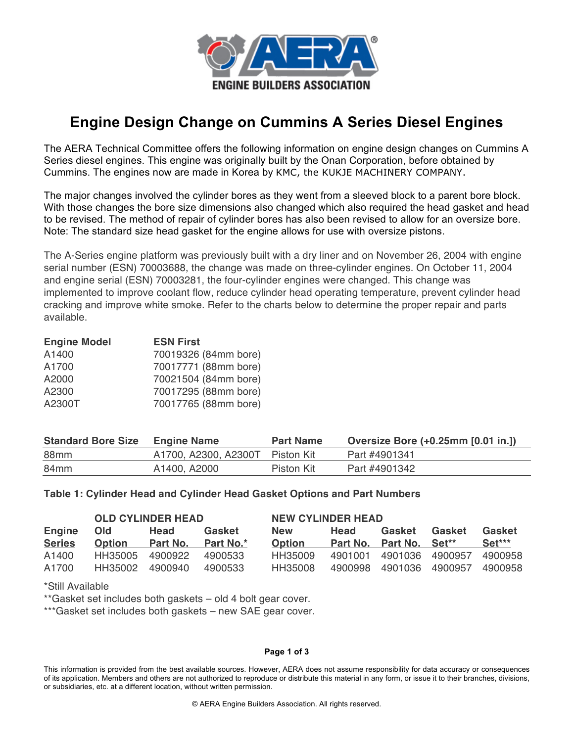

# **Engine Design Change on Cummins A Series Diesel Engines**

The AERA Technical Committee offers the following information on engine design changes on Cummins A Series diesel engines. This engine was originally built by the Onan Corporation, before obtained by Cummins. The engines now are made in Korea by KMC, the KUKJE MACHINERY COMPANY.

The major changes involved the cylinder bores as they went from a sleeved block to a parent bore block. With those changes the bore size dimensions also changed which also required the head gasket and head to be revised. The method of repair of cylinder bores has also been revised to allow for an oversize bore. Note: The standard size head gasket for the engine allows for use with oversize pistons.

The A-Series engine platform was previously built with a dry liner and on November 26, 2004 with engine serial number (ESN) 70003688, the change was made on three-cylinder engines. On October 11, 2004 and engine serial (ESN) 70003281, the four-cylinder engines were changed. This change was implemented to improve coolant flow, reduce cylinder head operating temperature, prevent cylinder head cracking and improve white smoke. Refer to the charts below to determine the proper repair and parts available.

| <b>Engine Model</b> | <b>ESN First</b>     |
|---------------------|----------------------|
| A1400               | 70019326 (84mm bore) |
| A1700               | 70017771 (88mm bore) |
| A2000               | 70021504 (84mm bore) |
| A2300               | 70017295 (88mm bore) |
| A2300T              | 70017765 (88mm bore) |

| <b>Standard Bore Size</b> | <b>Engine Name</b>              | <b>Part Name</b> | Oversize Bore (+0.25mm [0.01 in.]) |
|---------------------------|---------------------------------|------------------|------------------------------------|
| 88 <sub>mm</sub>          | A1700, A2300, A2300T Piston Kit |                  | Part #4901341                      |
| 84 <sub>mm</sub>          | A1400, A2000                    | Piston Kit       | Part #4901342                      |

## **Table 1: Cylinder Head and Cylinder Head Gasket Options and Part Numbers**

|               | <b>OLD CYLINDER HEAD</b> |          |           | <b>NEW CYLINDER HEAD</b> |         |                         |         |         |
|---------------|--------------------------|----------|-----------|--------------------------|---------|-------------------------|---------|---------|
| <b>Engine</b> | <b>Old</b>               | Head     | Gasket    | <b>New</b>               | Head    | Gasket                  | Gasket  | Gasket  |
| <b>Series</b> | <b>Option</b>            | Part No. | Part No.* | <b>Option</b>            |         | Part No. Part No. Set** |         | Set***  |
| A1400         | HH35005                  | 4900922  | 4900533   | HH35009                  | 4901001 | 4901036 4900957         |         | 4900958 |
| A1700         | HH35002                  | 4900940  | 4900533   | HH35008                  | 4900998 | 4901036                 | 4900957 | 4900958 |

\*Still Available

\*\*Gasket set includes both gaskets – old 4 bolt gear cover.

\*\*\*Gasket set includes both gaskets – new SAE gear cover.

#### **Page 1 of 3**

This information is provided from the best available sources. However, AERA does not assume responsibility for data accuracy or consequences of its application. Members and others are not authorized to reproduce or distribute this material in any form, or issue it to their branches, divisions, or subsidiaries, etc. at a different location, without written permission.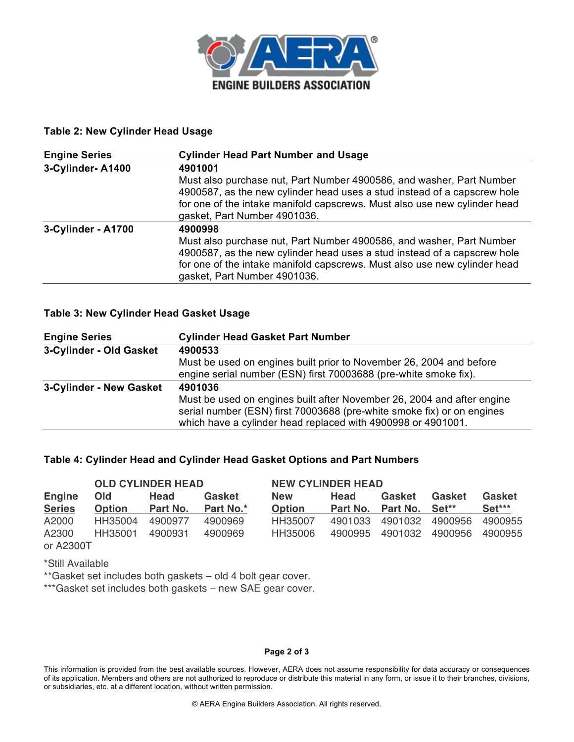

## **Table 2: New Cylinder Head Usage**

| <b>Engine Series</b> | <b>Cylinder Head Part Number and Usage</b>                                                                                                                                                                                                                    |
|----------------------|---------------------------------------------------------------------------------------------------------------------------------------------------------------------------------------------------------------------------------------------------------------|
| 3-Cylinder-A1400     | 4901001                                                                                                                                                                                                                                                       |
|                      | Must also purchase nut, Part Number 4900586, and washer, Part Number<br>4900587, as the new cylinder head uses a stud instead of a capscrew hole<br>for one of the intake manifold capscrews. Must also use new cylinder head<br>gasket, Part Number 4901036. |
| 3-Cylinder - A1700   | 4900998                                                                                                                                                                                                                                                       |
|                      | Must also purchase nut, Part Number 4900586, and washer, Part Number<br>4900587, as the new cylinder head uses a stud instead of a capscrew hole<br>for one of the intake manifold capscrews. Must also use new cylinder head<br>gasket, Part Number 4901036. |

## **Table 3: New Cylinder Head Gasket Usage**

| <b>Engine Series</b>    | <b>Cylinder Head Gasket Part Number</b>                                                                                                                                                                          |
|-------------------------|------------------------------------------------------------------------------------------------------------------------------------------------------------------------------------------------------------------|
| 3-Cylinder - Old Gasket | 4900533                                                                                                                                                                                                          |
|                         | Must be used on engines built prior to November 26, 2004 and before                                                                                                                                              |
|                         | engine serial number (ESN) first 70003688 (pre-white smoke fix).                                                                                                                                                 |
| 3-Cylinder - New Gasket | 4901036                                                                                                                                                                                                          |
|                         | Must be used on engines built after November 26, 2004 and after engine<br>serial number (ESN) first 70003688 (pre-white smoke fix) or on engines<br>which have a cylinder head replaced with 4900998 or 4901001. |

## **Table 4: Cylinder Head and Cylinder Head Gasket Options and Part Numbers**

| <b>OLD CYLINDER HEAD</b> |               |                 | <b>NEW CYLINDER HEAD</b> |                |         |                                     |         |          |
|--------------------------|---------------|-----------------|--------------------------|----------------|---------|-------------------------------------|---------|----------|
| <b>Engine</b>            | <b>Old</b>    | Head            | Gasket                   | <b>New</b>     | Head    | Gasket                              | Gasket  | Gasket   |
| <b>Series</b>            | <b>Option</b> | <b>Part No.</b> | <b>Part No.*</b>         | <b>Option</b>  |         | Part No. Part No. Set <sup>**</sup> |         | $Set***$ |
| A2000                    | HH35004       | 4900977         | 4900969                  | <b>HH35007</b> | 4901033 | 4901032                             | 4900956 | 4900955  |
| A2300                    | HH35001       | 4900931         | 4900969                  | HH35006        | 4900995 | 4901032                             | 4900956 | 4900955  |
| or A2300T                |               |                 |                          |                |         |                                     |         |          |

\*Still Available

\*\*Gasket set includes both gaskets – old 4 bolt gear cover.

\*\*\*Gasket set includes both gaskets – new SAE gear cover.

#### **Page 2 of 3**

This information is provided from the best available sources. However, AERA does not assume responsibility for data accuracy or consequences of its application. Members and others are not authorized to reproduce or distribute this material in any form, or issue it to their branches, divisions, or subsidiaries, etc. at a different location, without written permission.